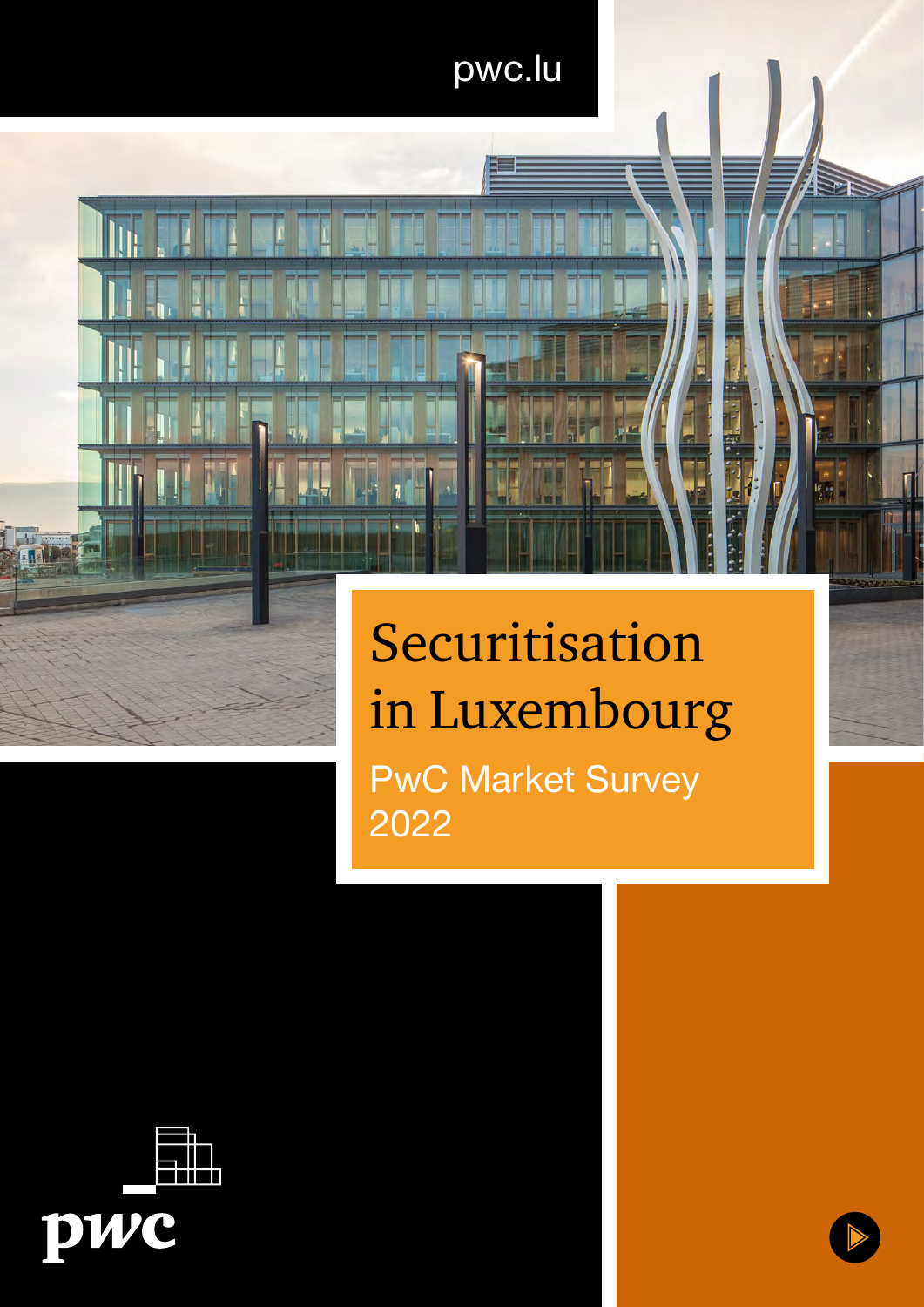## pwc.lu

# Securitisation in Luxembourg

PwC Market Survey 2022

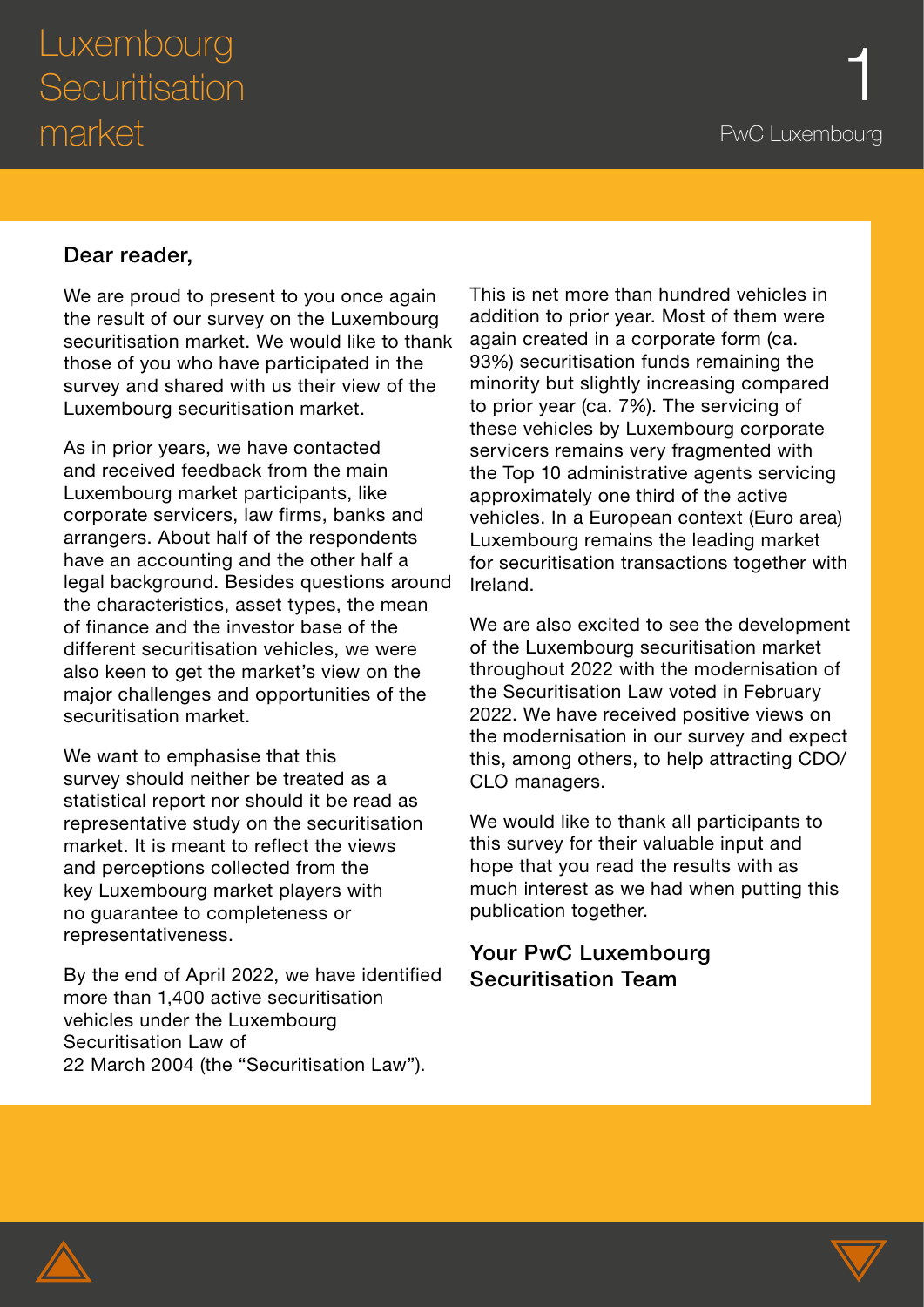### Dear reader,

We are proud to present to you once again the result of our survey on the Luxembourg securitisation market. We would like to thank those of you who have participated in the survey and shared with us their view of the Luxembourg securitisation market.

As in prior years, we have contacted and received feedback from the main Luxembourg market participants, like corporate servicers, law firms, banks and arrangers. About half of the respondents have an accounting and the other half a legal background. Besides questions around the characteristics, asset types, the mean of finance and the investor base of the different securitisation vehicles, we were also keen to get the market's view on the major challenges and opportunities of the securitisation market.

We want to emphasise that this survey should neither be treated as a statistical report nor should it be read as representative study on the securitisation market. It is meant to reflect the views and perceptions collected from the key Luxembourg market players with no guarantee to completeness or representativeness.

By the end of April 2022, we have identified more than 1,400 active securitisation vehicles under the Luxembourg Securitisation Law of 22 March 2004 (the "Securitisation Law").

This is net more than hundred vehicles in addition to prior year. Most of them were again created in a corporate form (ca. 93%) securitisation funds remaining the minority but slightly increasing compared to prior year (ca. 7%). The servicing of these vehicles by Luxembourg corporate servicers remains very fragmented with the Top 10 administrative agents servicing approximately one third of the active vehicles. In a European context (Euro area) Luxembourg remains the leading market for securitisation transactions together with Ireland.

We are also excited to see the development of the Luxembourg securitisation market throughout 2022 with the modernisation of the Securitisation Law voted in February 2022. We have received positive views on the modernisation in our survey and expect this, among others, to help attracting CDO/ CLO managers.

We would like to thank all participants to this survey for their valuable input and hope that you read the results with as much interest as we had when putting this publication together.

### Your PwC Luxembourg Securitisation Team



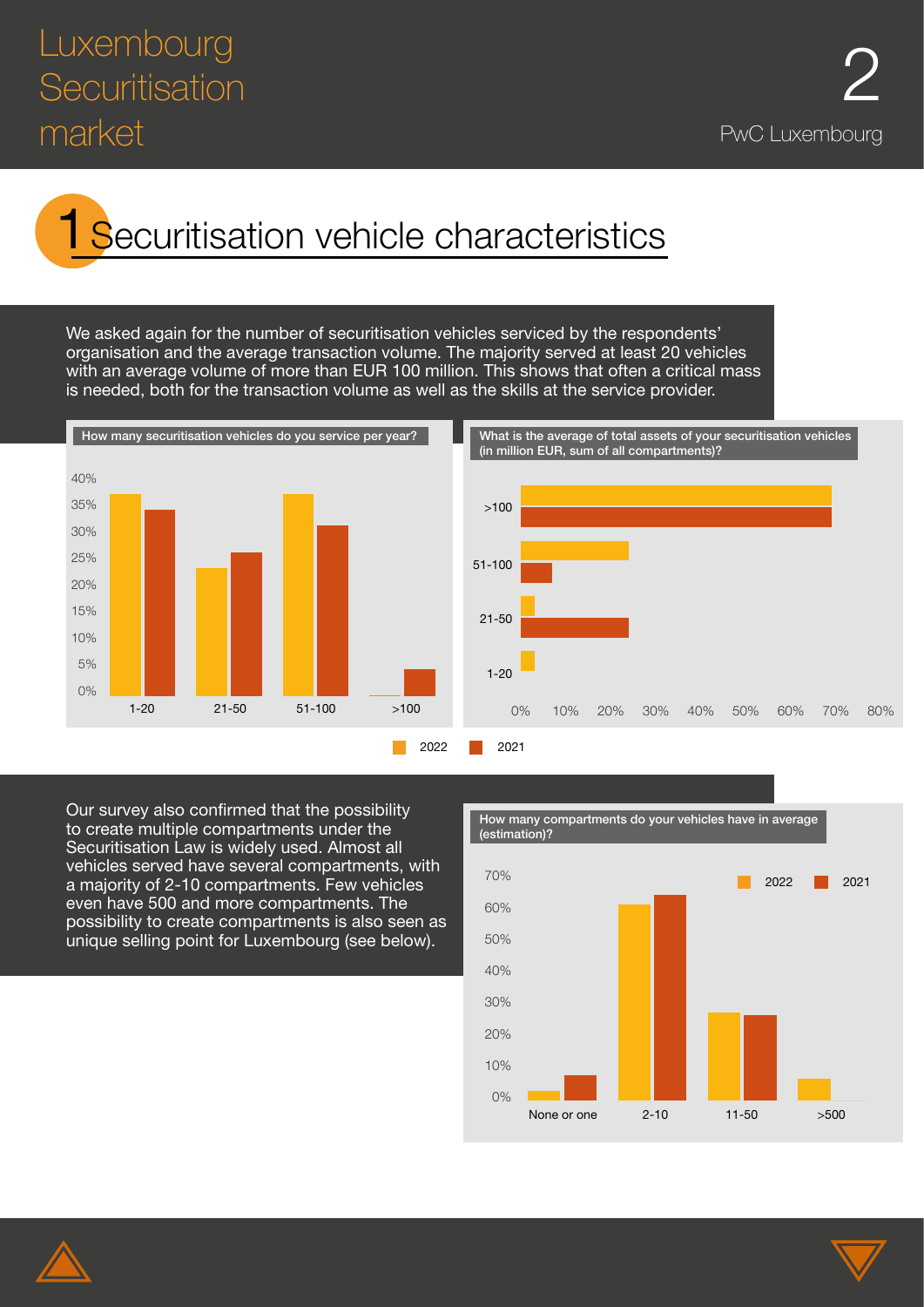## Luxembourg<br>Securitisation 2 **Securitisation** market **PwC Luxembourg**

# Securitisation vehicle characteristics

We asked again for the number of securitisation vehicles serviced by the respondents' organisation and the average transaction volume. The majority served at least 20 vehicles with an average volume of more than EUR 100 million. This shows that often a critical mass is needed, both for the transaction volume as well as the skills at the service provider.



Our survey also confirmed that the possibility to create multiple compartments under the Securitisation Law is widely used. Almost all vehicles served have several compartments, with a majority of 2-10 compartments. Few vehicles even have 500 and more compartments. The possibility to create compartments is also seen as unique selling point for Luxembourg (see below).



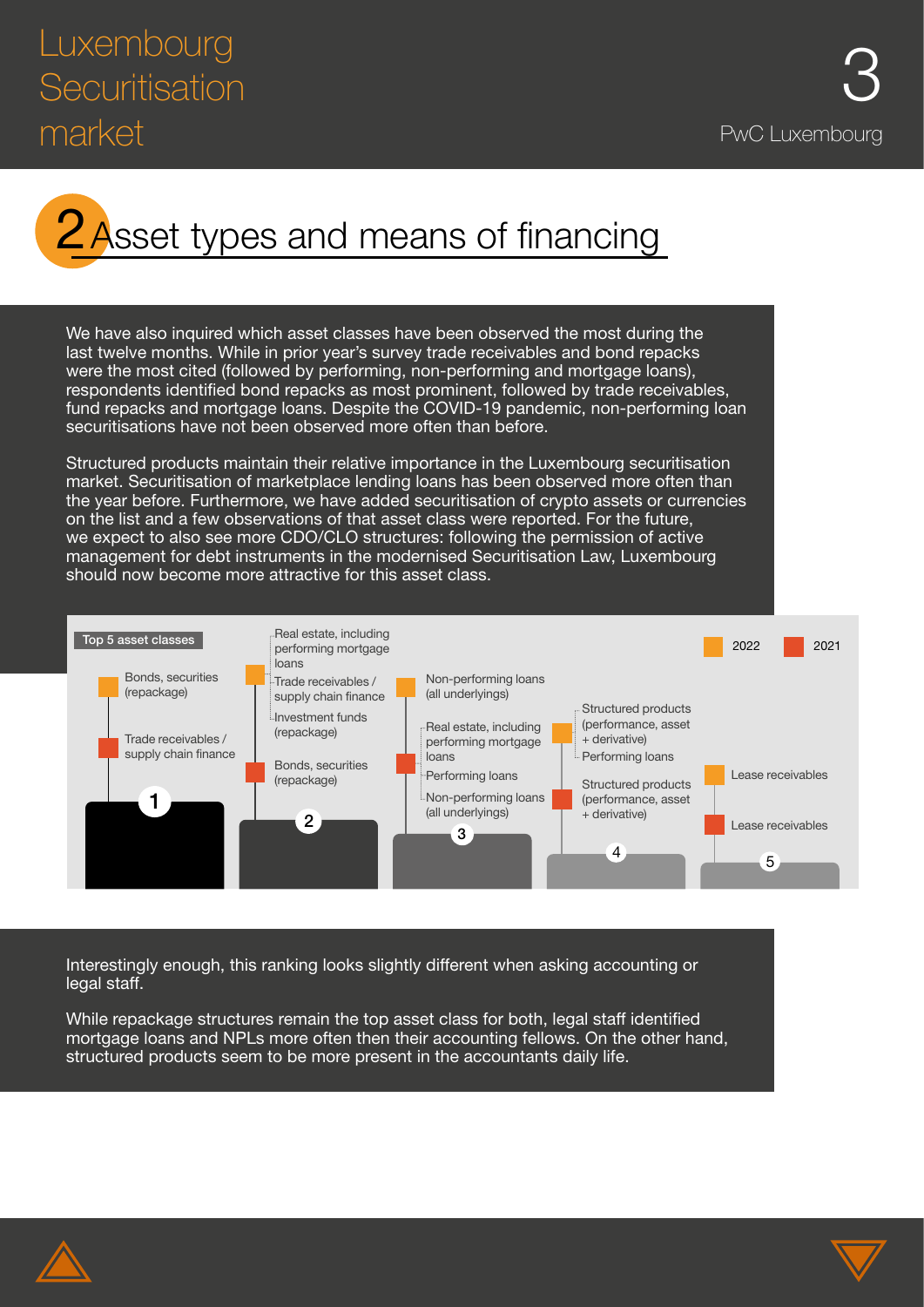

We have also inquired which asset classes have been observed the most during the last twelve months. While in prior year's survey trade receivables and bond repacks were the most cited (followed by performing, non-performing and mortgage loans), respondents identified bond repacks as most prominent, followed by trade receivables, fund repacks and mortgage loans. Despite the COVID-19 pandemic, non-performing loan securitisations have not been observed more often than before.

Structured products maintain their relative importance in the Luxembourg securitisation market. Securitisation of marketplace lending loans has been observed more often than the year before. Furthermore, we have added securitisation of crypto assets or currencies on the list and a few observations of that asset class were reported. For the future, we expect to also see more CDO/CLO structures: following the permission of active management for debt instruments in the modernised Securitisation Law, Luxembourg should now become more attractive for this asset class.



Interestingly enough, this ranking looks slightly different when asking accounting or legal staff.

While repackage structures remain the top asset class for both, legal staff identified mortgage loans and NPLs more often then their accounting fellows. On the other hand, structured products seem to be more present in the accountants daily life.



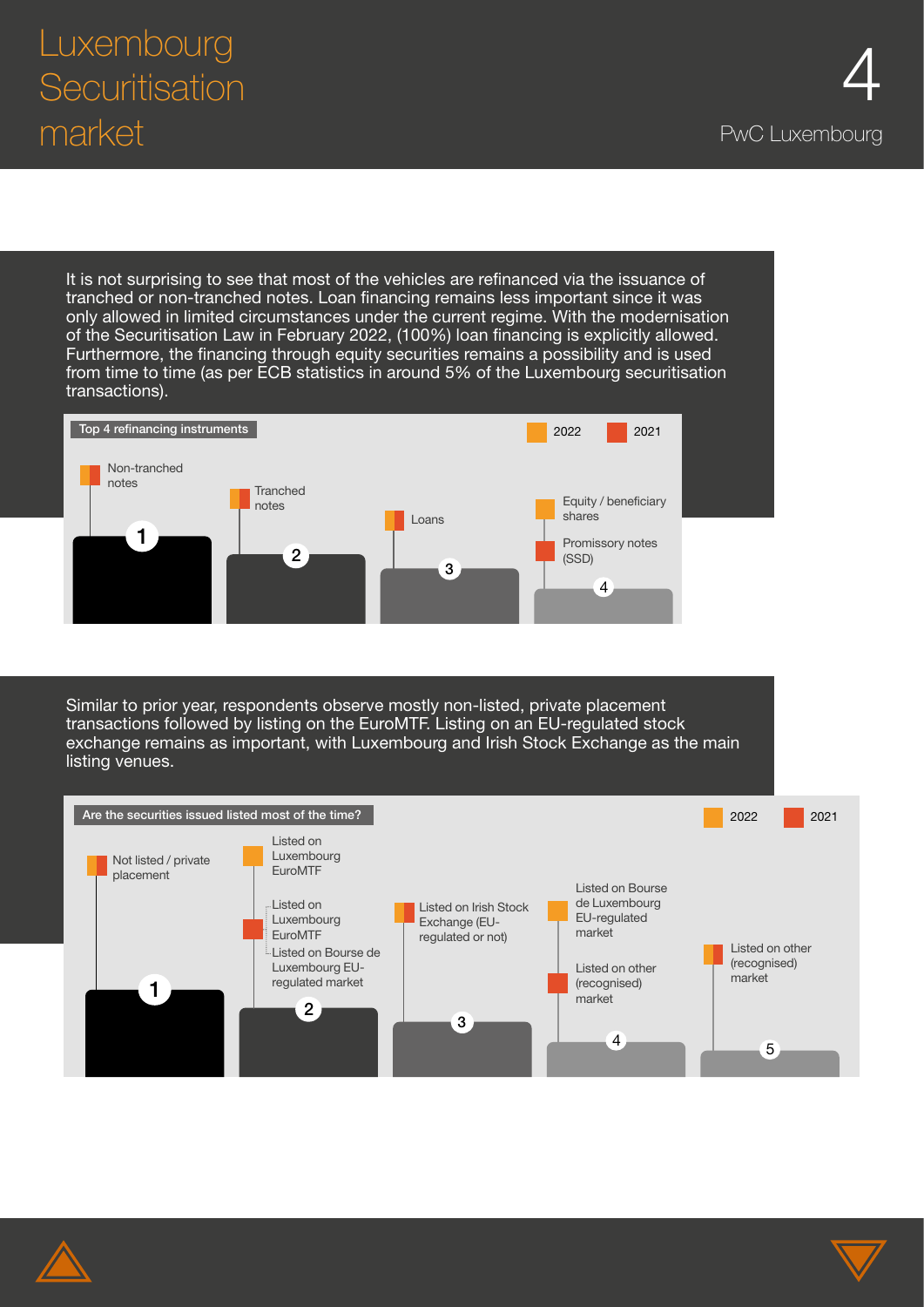It is not surprising to see that most of the vehicles are refinanced via the issuance of tranched or non-tranched notes. Loan financing remains less important since it was only allowed in limited circumstances under the current regime. With the modernisation of the Securitisation Law in February 2022, (100%) loan financing is explicitly allowed. Furthermore, the financing through equity securities remains a possibility and is used from time to time (as per ECB statistics in around 5% of the Luxembourg securitisation transactions).



Similar to prior year, respondents observe mostly non-listed, private placement transactions followed by listing on the EuroMTF. Listing on an EU-regulated stock exchange remains as important, with Luxembourg and Irish Stock Exchange as the main listing venues.





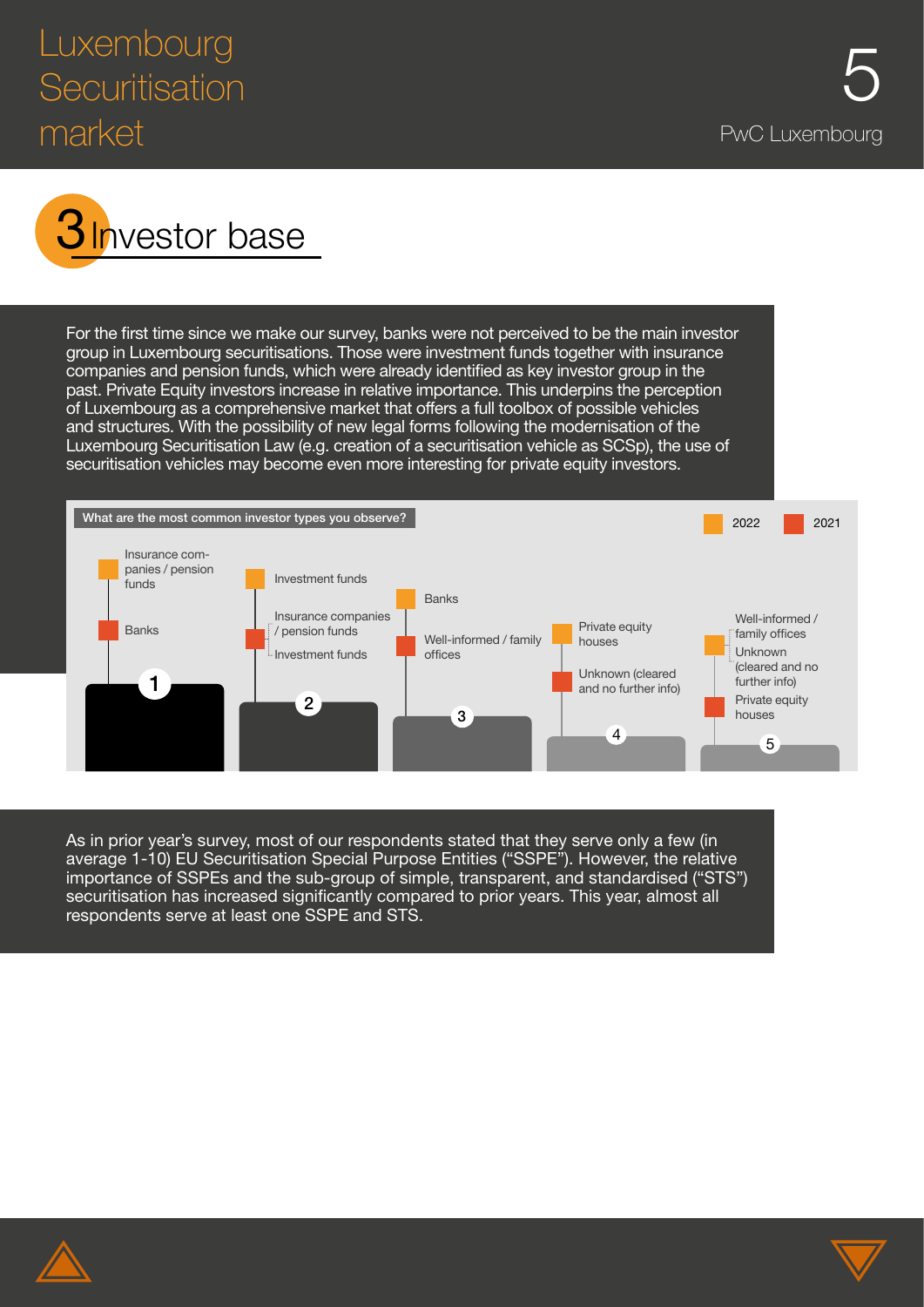## Luxembourg<br>Securitisation 5 **Securitisation** market end and the product of the product of the product of the PwC Luxembourg



For the first time since we make our survey, banks were not perceived to be the main investor group in Luxembourg securitisations. Those were investment funds together with insurance companies and pension funds, which were already identified as key investor group in the past. Private Equity investors increase in relative importance. This underpins the perception of Luxembourg as a comprehensive market that offers a full toolbox of possible vehicles and structures. With the possibility of new legal forms following the modernisation of the Luxembourg Securitisation Law (e.g. creation of a securitisation vehicle as SCSp), the use of securitisation vehicles may become even more interesting for private equity investors.



As in prior year's survey, most of our respondents stated that they serve only a few (in average 1-10) EU Securitisation Special Purpose Entities ("SSPE"). However, the relative importance of SSPEs and the sub-group of simple, transparent, and standardised ("STS") securitisation has increased significantly compared to prior years. This year, almost all respondents serve at least one SSPE and STS.



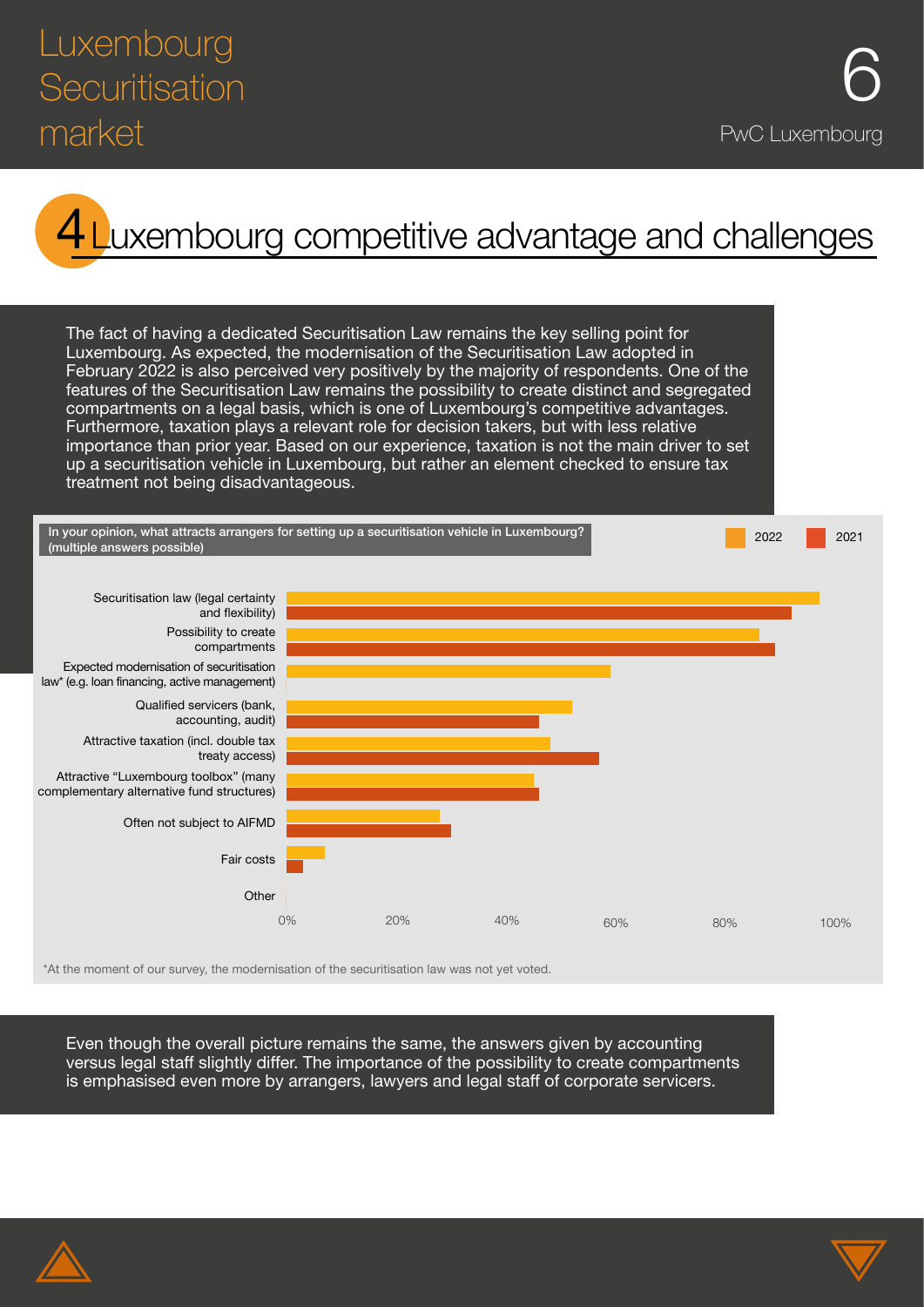### Luxembourg<br>Securitisation **6 Securitisation** market **PwC Luxembourg**

# uxembourg competitive advantage and challenges

The fact of having a dedicated Securitisation Law remains the key selling point for Luxembourg. As expected, the modernisation of the Securitisation Law adopted in February 2022 is also perceived very positively by the majority of respondents. One of the features of the Securitisation Law remains the possibility to create distinct and segregated compartments on a legal basis, which is one of Luxembourg's competitive advantages. Furthermore, taxation plays a relevant role for decision takers, but with less relative importance than prior year. Based on our experience, taxation is not the main driver to set up a securitisation vehicle in Luxembourg, but rather an element checked to ensure tax treatment not being disadvantageous.



\*At the moment of our survey, the modernisation of the securitisation law was not yet voted.

Even though the overall picture remains the same, the answers given by accounting versus legal staff slightly differ. The importance of the possibility to create compartments is emphasised even more by arrangers, lawyers and legal staff of corporate servicers.



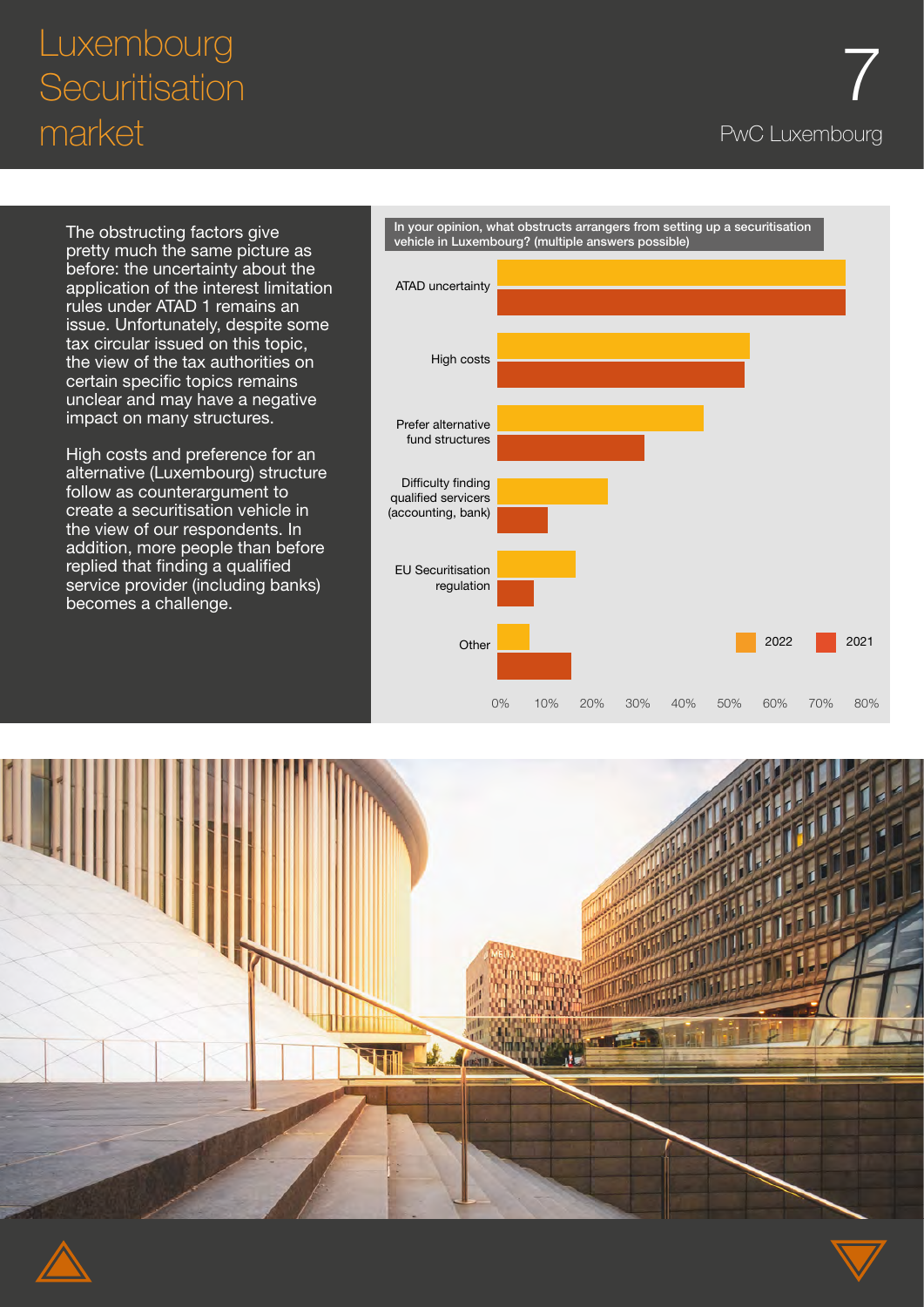# 7 Luxembourg Securitisation market end and the product of the PwC Luxembourg

The obstructing factors give pretty much the same picture as before: the uncertainty about the application of the interest limitation rules under ATAD 1 remains an issue. Unfortunately, despite some tax circular issued on this topic, the view of the tax authorities on certain specific topics remains unclear and may have a negative impact on many structures.

High costs and preference for an alternative (Luxembourg) structure follow as counterargument to create a securitisation vehicle in the view of our respondents. In addition, more people than before replied that finding a qualified service provider (including banks) becomes a challenge.



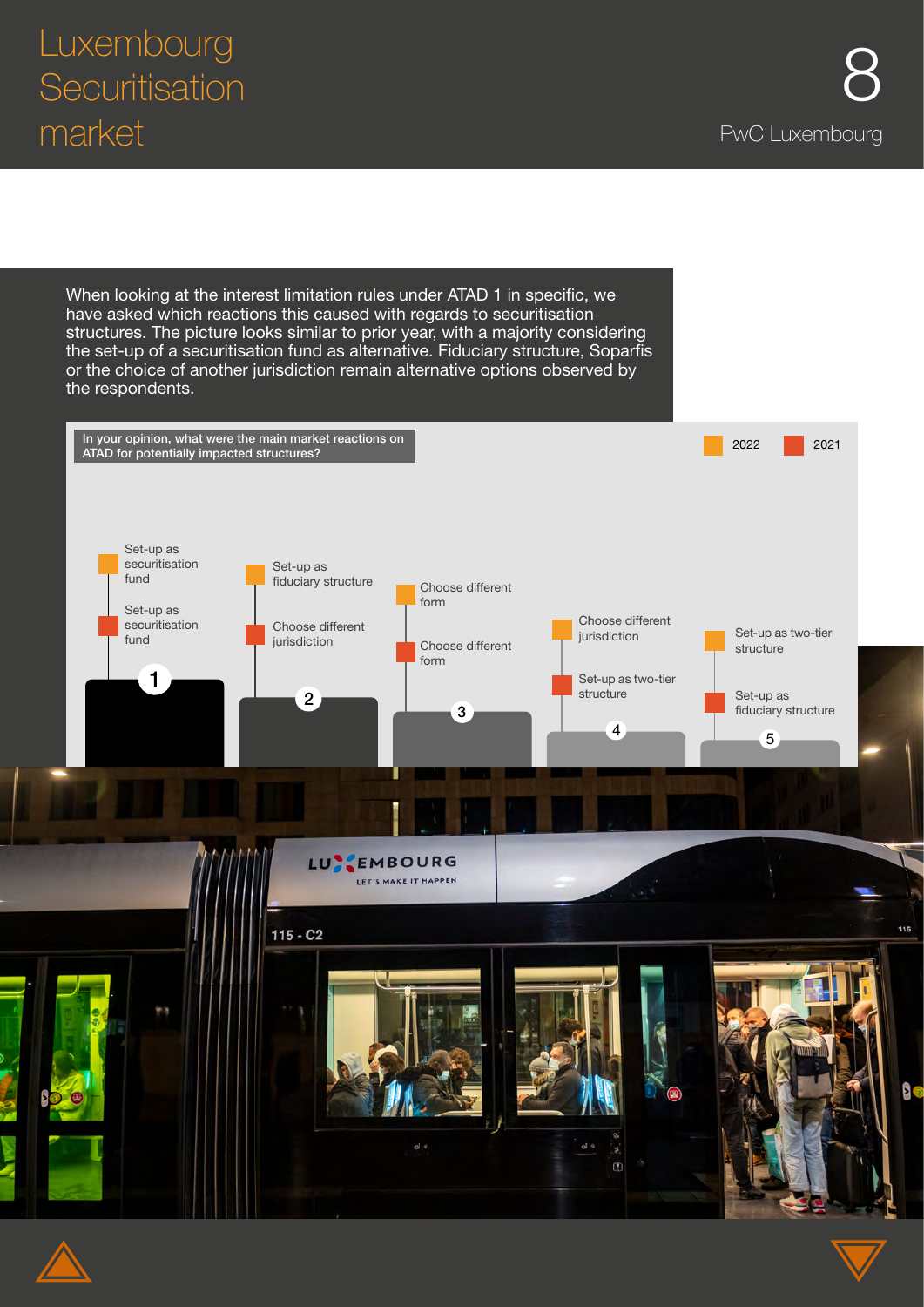115

 $\frac{1}{2}$ 

When looking at the interest limitation rules under ATAD 1 in specific, we have asked which reactions this caused with regards to securitisation structures. The picture looks similar to prior year, with a majority considering the set-up of a securitisation fund as alternative. Fiduciary structure, Soparfis or the choice of another jurisdiction remain alternative options observed by the respondents. In your opinion, what were the main market reactions on 2022 2021 ATAD for potentially impacted structures? Set-up as securitisation Set-up as fund fiduciary structure Choose different form Set-up as Choose different securitisation Choose different<br>iurisdiction jurisdiction Uniouse unique in the choose different and interest in the set-up as two-tier<br>jurisdiction and Choose different in the set of the structure fund Choose different structure form 1 Set-up as two-tier structureSet-up as 2 3 fiduciary structure  $\frac{4}{5}$  5 **LUNEEMBOURG** LET'S MAKE IT HAPPEN  $115 - C2$ 

$$
\color{blue}\blacktriangle
$$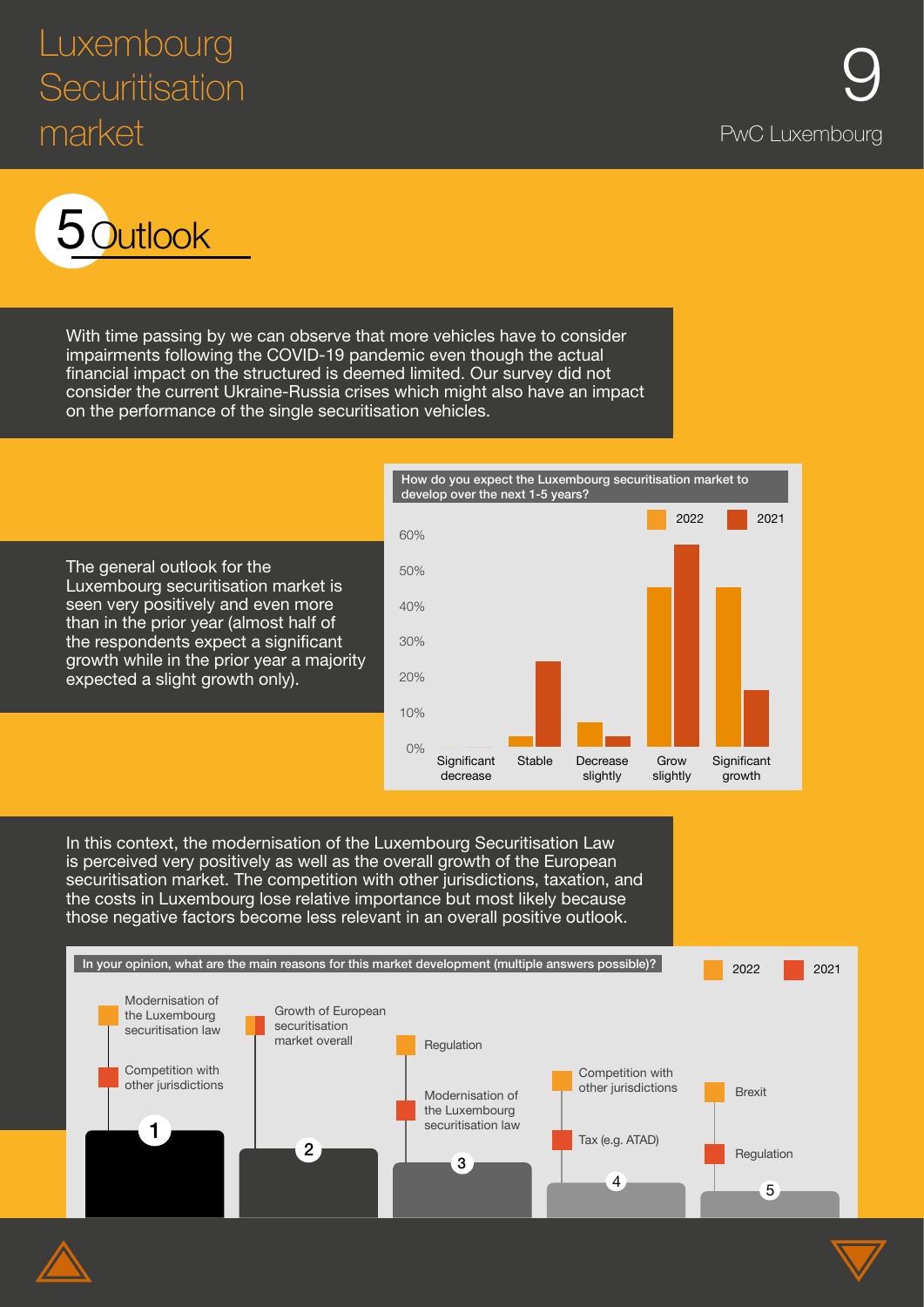## Luxembourg<br>Securitisation **9 Securitisation** market end and the product of the product of the product of the PwC Luxembourg



With time passing by we can observe that more vehicles have to consider impairments following the COVID-19 pandemic even though the actual financial impact on the structured is deemed limited. Our survey did not consider the current Ukraine-Russia crises which might also have an impact on the performance of the single securitisation vehicles.



In this context, the modernisation of the Luxembourg Securitisation Law is perceived very positively as well as the overall growth of the European securitisation market. The competition with other jurisdictions, taxation, and the costs in Luxembourg lose relative importance but most likely because those negative factors become less relevant in an overall positive outlook.

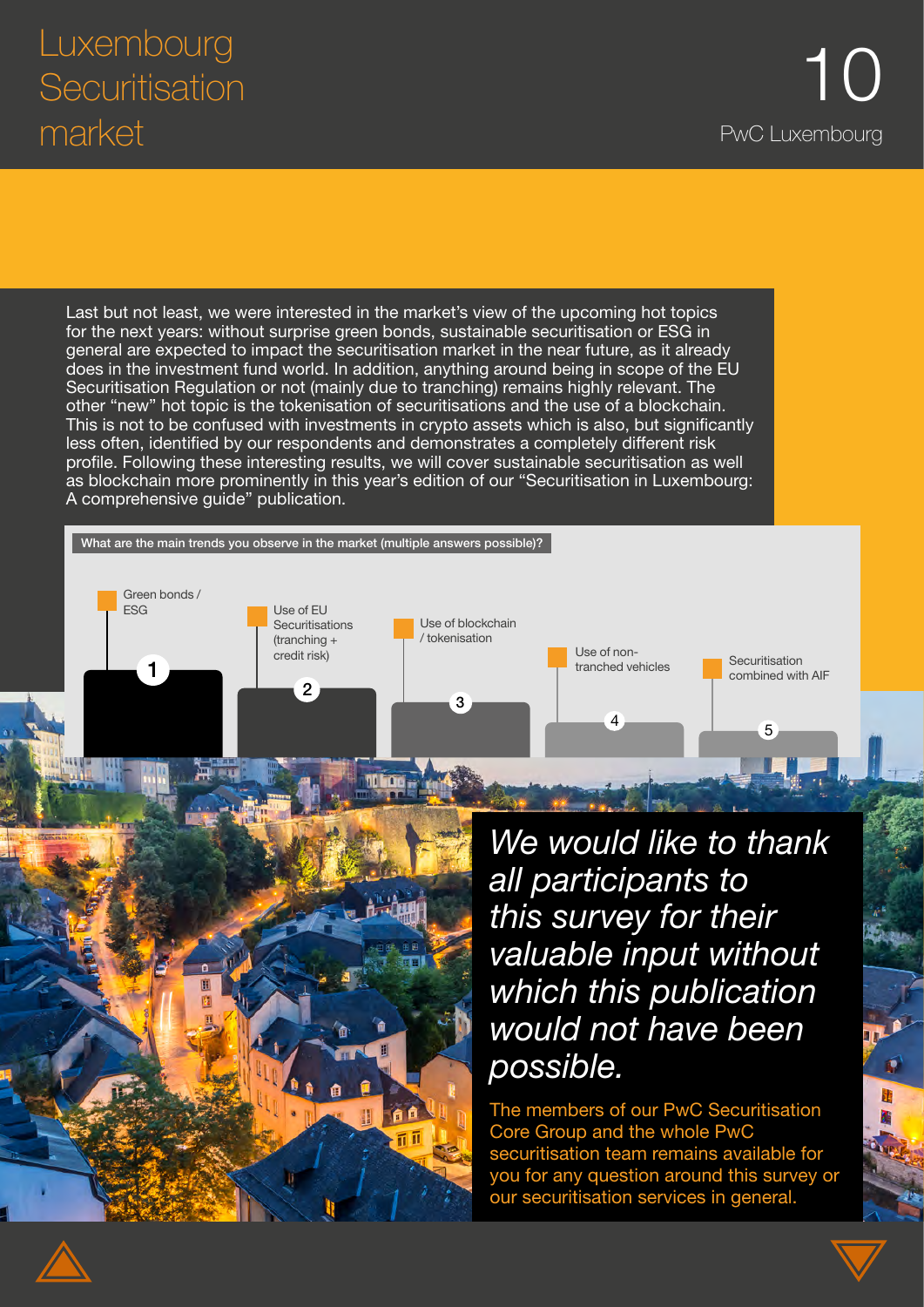Green bonds /<br>ESG

Last but not least, we were interested in the market's view of the upcoming hot topics for the next years: without surprise green bonds, sustainable securitisation or ESG in general are expected to impact the securitisation market in the near future, as it already does in the investment fund world. In addition, anything around being in scope of the EU Securitisation Regulation or not (mainly due to tranching) remains highly relevant. The other "new" hot topic is the tokenisation of securitisations and the use of a blockchain. This is not to be confused with investments in crypto assets which is also, but significantly less often, identified by our respondents and demonstrates a completely different risk profile. Following these interesting results, we will cover sustainable securitisation as well as blockchain more prominently in this year's edition of our "Securitisation in Luxembourg: A comprehensive guide" publication.

> Use of blockchain / tokenisation

> > 3

tranched vehicles Securitisation Combined with AIF Combined with AIF Combined with AIF Combined with AIF Combined with AIF

What are the main trends you observe in the market (multiple answers possible)?

Use of EU **Securitisations** (tranching + credit risk)

2

*We would like to thank all participants to this survey for their valuable input without which this publication would not have been possible.*

 $\frac{4}{5}$  5

Use of non-

The members of our PwC Securitisation Core Group and the whole PwC securitisation team remains available for you for any question around this survey or our securitisation services in general.